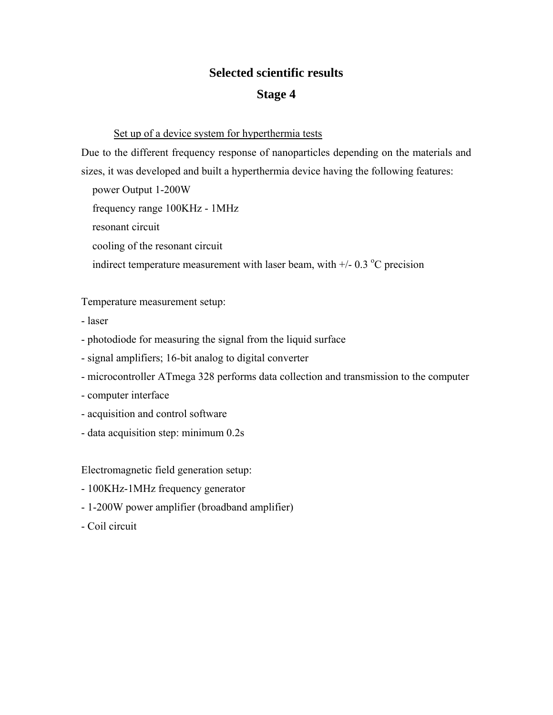## **Selected scientific results**

## **Stage 4**

## Set up of a device system for hyperthermia tests

Due to the different frequency response of nanoparticles depending on the materials and sizes, it was developed and built a hyperthermia device having the following features:

 power Output 1-200W frequency range 100KHz - 1MHz resonant circuit cooling of the resonant circuit indirect temperature measurement with laser beam, with  $+/- 0.3$  °C precision

Temperature measurement setup:

- laser
- photodiode for measuring the signal from the liquid surface
- signal amplifiers; 16-bit analog to digital converter
- microcontroller ATmega 328 performs data collection and transmission to the computer
- computer interface
- acquisition and control software
- data acquisition step: minimum 0.2s

Electromagnetic field generation setup:

- 100KHz-1MHz frequency generator
- 1-200W power amplifier (broadband amplifier)
- Coil circuit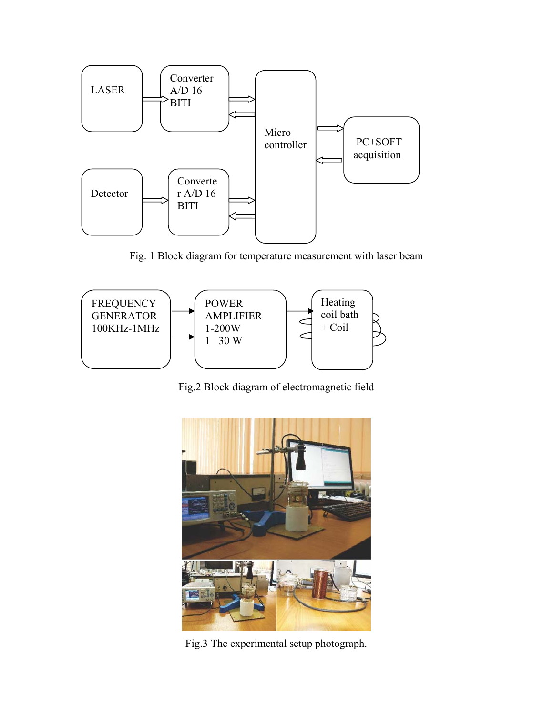

Fig. 1 Block diagram for temperature measurement with laser beam



Fig.2 Block diagram of electromagnetic field



Fig.3 The experimental setup photograph.